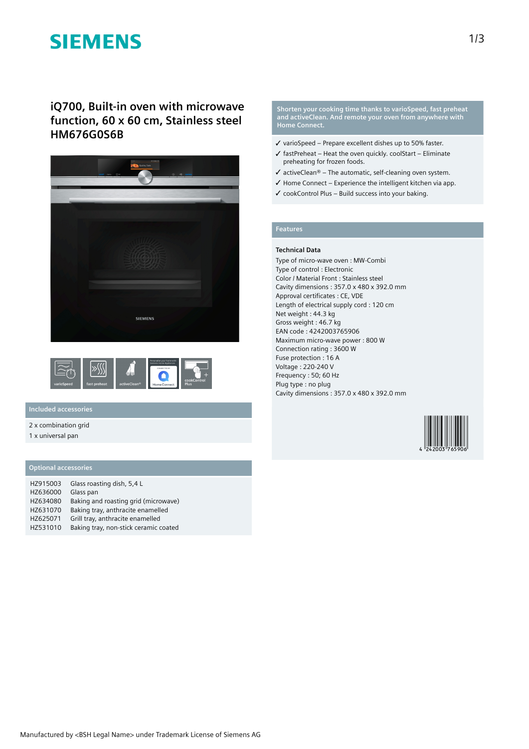# **SIEMENS**

**iQ700, Built-in oven with microwave function, 60 x 60 cm, Stainless steel HM676G0S6B**





## **Included accessories**

2 x combination grid

1 x universal pan

### **Optional accessories**

| HZ915003 | Glass roasting dish, 5,4 L            |
|----------|---------------------------------------|
| HZ636000 | Glass pan                             |
| HZ634080 | Baking and roasting grid (microwave)  |
| HZ631070 | Baking tray, anthracite enamelled     |
| HZ625071 | Grill tray, anthracite enamelled      |
| HZ531010 | Baking tray, non-stick ceramic coated |

**Shorten your cooking time thanks to varioSpeed, fast preheat and activeClean. And remote your oven from anywhere with Home Connect.**

- ✓ varioSpeed Prepare excellent dishes up to 50% faster.
- $\checkmark$  fastPreheat Heat the oven quickly. coolStart Eliminate preheating for frozen foods.
- $\checkmark$  activeClean® The automatic, self-cleaning oven system.
- $\checkmark$  Home Connect Experience the intelligent kitchen via app.
- $\checkmark$  cookControl Plus Build success into your baking.

## **Features**

#### **Technical Data**

Type of micro-wave oven : MW-Combi Type of control : Electronic Color / Material Front : Stainless steel Cavity dimensions : 357.0 x 480 x 392.0 mm Approval certificates : CE, VDE Length of electrical supply cord : 120 cm Net weight : 44.3 kg Gross weight : 46.7 kg EAN code : 4242003765906 Maximum micro-wave power : 800 W Connection rating : 3600 W Fuse protection : 16 A Voltage : 220-240 V Frequency : 50; 60 Hz Plug type : no plug Cavity dimensions : 357.0 x 480 x 392.0 mm

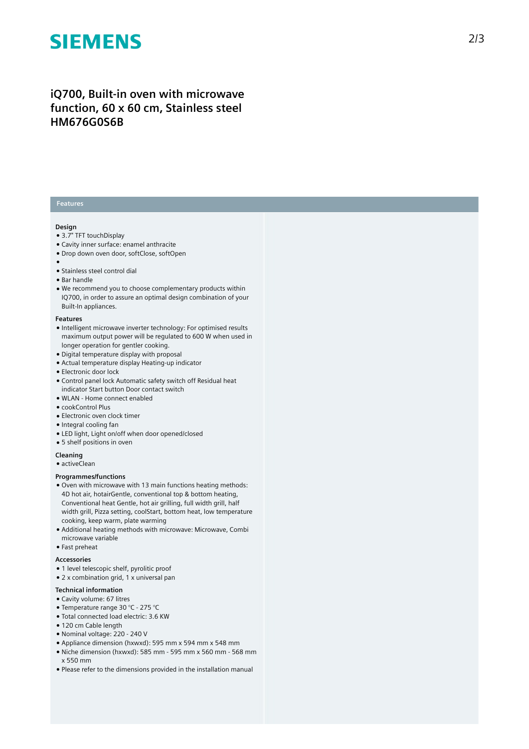# **SIEMENS**

# iQ700, Built-in oven with microwave function, 60 x 60 cm, Stainless steel **HM676G0S6B**

### **Features**

#### **Design**

- 3.7" TFT touchDisplay
- Cavity inner surface: enamel anthracite
- Drop down oven door, softClose, softOpen
- 
- ●<br>● Stainless steel control dial
- Bar handle
- We recommend you to choose complementary products within IQ700, in order to assure an optimal design combination of you r Built-In appliances.

#### **F e a t u r e s**

- Intelligent microwave inverter technology: For optimised results maximum output power will be regulated to 600 W when used in longer operation for gentler cooking.
- Digital temperature display with proposal
- Actual temperature display Heating-up indicator
- Electronic door lock
- Control panel lock Automatic safety switch off Residual heat indicator Start button Door contact switch
- WLAN Home connect enabled
- cookControl Plus
- Electronic oven clock timer
- Integral cooling fan
- LED light, Light on/off when door opened/closed
- 5 shelf positions in oven

#### **Cleaning**

 $\bullet$  activeClean

#### **Programmes/functions**

- Oven with microwave with 13 main functions heating methods: 4D hot air, hotairGentle, conventional top & bottom heating, Conventional heat Gentle, hot air grilling, full width grill, half width grill, Pizza setting, coolStart, bottom heat, low temperature cooking, keep warm, plate warming
- Additional heating methods with microwave: Microwave, Combi microwave variable

### • Fast preheat

#### **A c c e s s o r i e s**

- 1 level telescopic shelf, pyrolitic proof
- 2 x combination grid, 1 x universal pan

#### Technical information

- Cavity volume: 67 litres
- Temperature range 30 °C 275 °C
- · Total connected load electric: 3.6 KW
- 120 cm Cable length
- Nominal voltage: 220 240 V
- Appliance dimension (hxwxd): 595 mm x 594 mm x 548 mm
- $\bullet$  Niche dimension (hxwxd): 585 mm 595 mm x 560 mm 568 mm x 550 mm
- Please refer to the dimensions provided in the installation manual